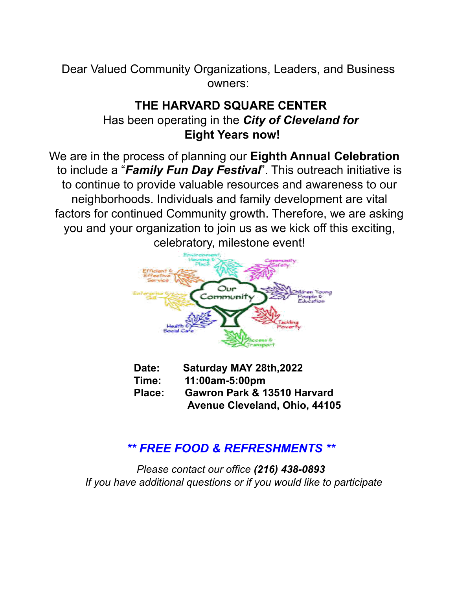Dear Valued Community Organizations, Leaders, and Business owners:

## **THE HARVARD SQUARE CENTER** Has been operating in the *City of Cleveland for* **Eight Years now!**

We are in the process of planning our **Eighth Annual Celebration** to include a "*Family Fun Day Festival*". This outreach initiative is to continue to provide valuable resources and awareness to our neighborhoods. Individuals and family development are vital factors for continued Community growth. Therefore, we are asking you and your organization to join us as we kick off this exciting, celebratory, milestone event!



- **Date: Saturday MAY 28th,2022 Time: 11:00am-5:00pm Place: Gawron Park & 13510 Harvard**
	- **Avenue Cleveland, Ohio, 44105**

## *\*\* FREE FOOD & REFRESHMENTS \*\**

*Please contact our office (216) 438-0893 If you have additional questions or if you would like to participate*